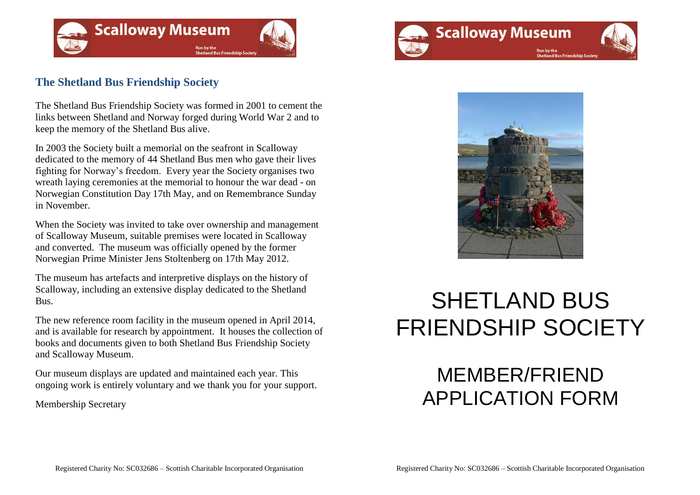

### **The Shetland Bus Friendship Society**

The Shetland Bus Friendship Society was formed in 2001 to cement the links between Shetland and Norway forged during World War 2 and to keep the memory of the Shetland Bus alive.

In 2003 the Society built a memorial on the seafront in Scalloway dedicated to the memory of 44 Shetland Bus men who gave their lives fighting for Norway's freedom. Every year the Society organises two wreath laying ceremonies at the memorial to honour the war dead - on Norwegian Constitution Day 17th May, and on Remembrance Sunday in November.

When the Society was invited to take over ownership and management of Scalloway Museum, suitable premises were located in Scalloway and converted. The museum was officially opened by the former Norwegian Prime Minister Jens Stoltenberg on 17th May 2012.

The museum has artefacts and interpretive displays on the history of Scalloway, including an extensive display dedicated to the Shetland Bus.

The new reference room facility in the museum opened in April 2014, and is available for research by appointment. It houses the collection of books and documents given to both Shetland Bus Friendship Society and Scalloway Museum.

Our museum displays are updated and maintained each year. This ongoing work is entirely voluntary and we thank you for your support.

Membership Secretary





# SHETLAND BUS FRIENDSHIP SOCIETY

## MEMBER/FRIEND APPLICATION FORM